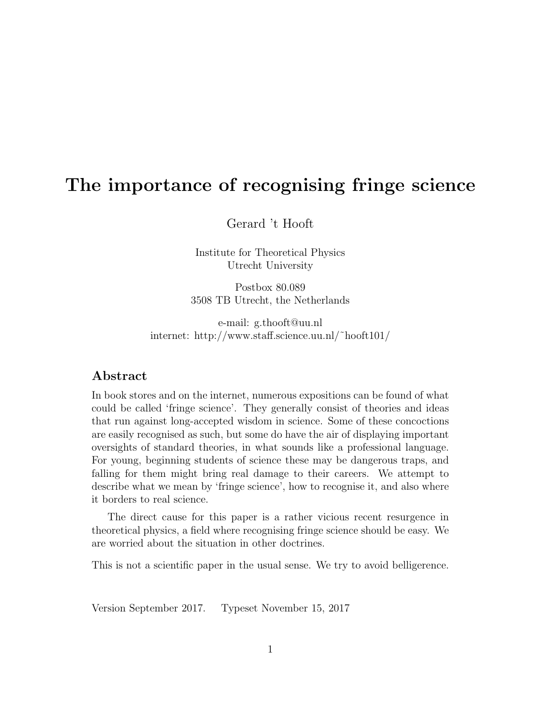# The importance of recognising fringe science

Gerard 't Hooft

Institute for Theoretical Physics Utrecht University

Postbox 80.089 3508 TB Utrecht, the Netherlands

e-mail: g.thooft@uu.nl internet: http://www.staff.science.uu.nl/˜hooft101/

#### Abstract

In book stores and on the internet, numerous expositions can be found of what could be called 'fringe science'. They generally consist of theories and ideas that run against long-accepted wisdom in science. Some of these concoctions are easily recognised as such, but some do have the air of displaying important oversights of standard theories, in what sounds like a professional language. For young, beginning students of science these may be dangerous traps, and falling for them might bring real damage to their careers. We attempt to describe what we mean by 'fringe science', how to recognise it, and also where it borders to real science.

The direct cause for this paper is a rather vicious recent resurgence in theoretical physics, a field where recognising fringe science should be easy. We are worried about the situation in other doctrines.

This is not a scientific paper in the usual sense. We try to avoid belligerence.

Version September 2017. Typeset November 15, 2017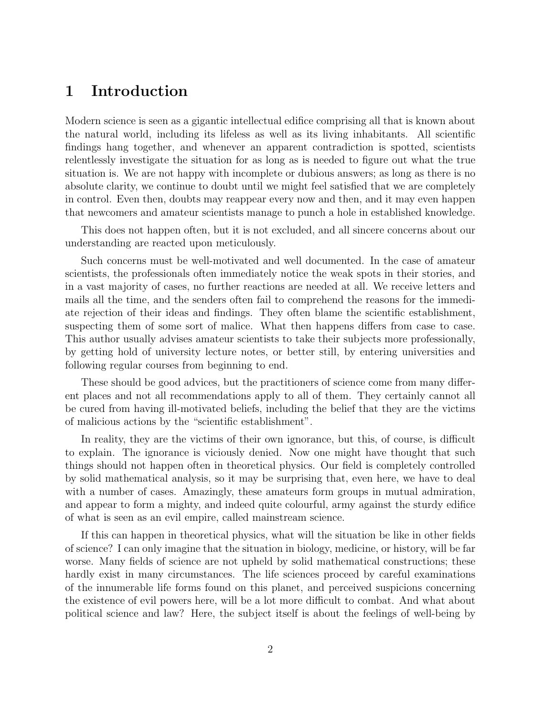### 1 Introduction

Modern science is seen as a gigantic intellectual edifice comprising all that is known about the natural world, including its lifeless as well as its living inhabitants. All scientific findings hang together, and whenever an apparent contradiction is spotted, scientists relentlessly investigate the situation for as long as is needed to figure out what the true situation is. We are not happy with incomplete or dubious answers; as long as there is no absolute clarity, we continue to doubt until we might feel satisfied that we are completely in control. Even then, doubts may reappear every now and then, and it may even happen that newcomers and amateur scientists manage to punch a hole in established knowledge.

This does not happen often, but it is not excluded, and all sincere concerns about our understanding are reacted upon meticulously.

Such concerns must be well-motivated and well documented. In the case of amateur scientists, the professionals often immediately notice the weak spots in their stories, and in a vast majority of cases, no further reactions are needed at all. We receive letters and mails all the time, and the senders often fail to comprehend the reasons for the immediate rejection of their ideas and findings. They often blame the scientific establishment, suspecting them of some sort of malice. What then happens differs from case to case. This author usually advises amateur scientists to take their subjects more professionally, by getting hold of university lecture notes, or better still, by entering universities and following regular courses from beginning to end.

These should be good advices, but the practitioners of science come from many different places and not all recommendations apply to all of them. They certainly cannot all be cured from having ill-motivated beliefs, including the belief that they are the victims of malicious actions by the "scientific establishment".

In reality, they are the victims of their own ignorance, but this, of course, is difficult to explain. The ignorance is viciously denied. Now one might have thought that such things should not happen often in theoretical physics. Our field is completely controlled by solid mathematical analysis, so it may be surprising that, even here, we have to deal with a number of cases. Amazingly, these amateurs form groups in mutual admiration, and appear to form a mighty, and indeed quite colourful, army against the sturdy edifice of what is seen as an evil empire, called mainstream science.

If this can happen in theoretical physics, what will the situation be like in other fields of science? I can only imagine that the situation in biology, medicine, or history, will be far worse. Many fields of science are not upheld by solid mathematical constructions; these hardly exist in many circumstances. The life sciences proceed by careful examinations of the innumerable life forms found on this planet, and perceived suspicions concerning the existence of evil powers here, will be a lot more difficult to combat. And what about political science and law? Here, the subject itself is about the feelings of well-being by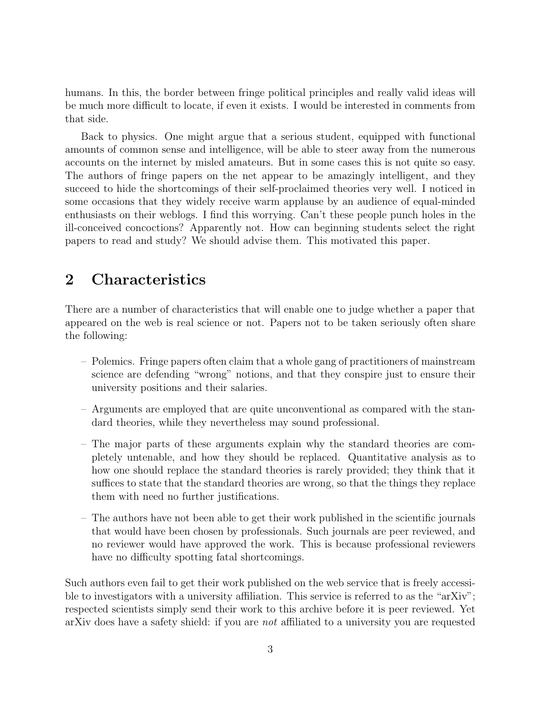humans. In this, the border between fringe political principles and really valid ideas will be much more difficult to locate, if even it exists. I would be interested in comments from that side.

Back to physics. One might argue that a serious student, equipped with functional amounts of common sense and intelligence, will be able to steer away from the numerous accounts on the internet by misled amateurs. But in some cases this is not quite so easy. The authors of fringe papers on the net appear to be amazingly intelligent, and they succeed to hide the shortcomings of their self-proclaimed theories very well. I noticed in some occasions that they widely receive warm applause by an audience of equal-minded enthusiasts on their weblogs. I find this worrying. Can't these people punch holes in the ill-conceived concoctions? Apparently not. How can beginning students select the right papers to read and study? We should advise them. This motivated this paper.

## 2 Characteristics

There are a number of characteristics that will enable one to judge whether a paper that appeared on the web is real science or not. Papers not to be taken seriously often share the following:

- Polemics. Fringe papers often claim that a whole gang of practitioners of mainstream science are defending "wrong" notions, and that they conspire just to ensure their university positions and their salaries.
- Arguments are employed that are quite unconventional as compared with the standard theories, while they nevertheless may sound professional.
- The major parts of these arguments explain why the standard theories are completely untenable, and how they should be replaced. Quantitative analysis as to how one should replace the standard theories is rarely provided; they think that it suffices to state that the standard theories are wrong, so that the things they replace them with need no further justifications.
- The authors have not been able to get their work published in the scientific journals that would have been chosen by professionals. Such journals are peer reviewed, and no reviewer would have approved the work. This is because professional reviewers have no difficulty spotting fatal shortcomings.

Such authors even fail to get their work published on the web service that is freely accessible to investigators with a university affiliation. This service is referred to as the "arXiv"; respected scientists simply send their work to this archive before it is peer reviewed. Yet arXiv does have a safety shield: if you are not affiliated to a university you are requested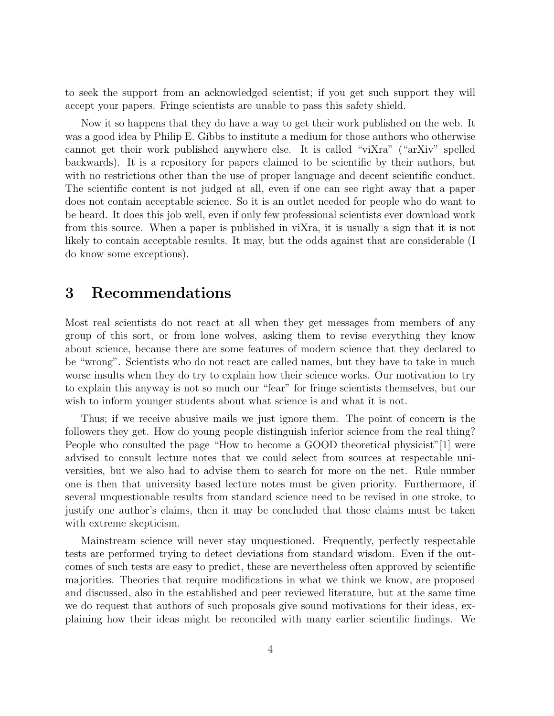to seek the support from an acknowledged scientist; if you get such support they will accept your papers. Fringe scientists are unable to pass this safety shield.

Now it so happens that they do have a way to get their work published on the web. It was a good idea by Philip E. Gibbs to institute a medium for those authors who otherwise cannot get their work published anywhere else. It is called "viXra" ("arXiv" spelled backwards). It is a repository for papers claimed to be scientific by their authors, but with no restrictions other than the use of proper language and decent scientific conduct. The scientific content is not judged at all, even if one can see right away that a paper does not contain acceptable science. So it is an outlet needed for people who do want to be heard. It does this job well, even if only few professional scientists ever download work from this source. When a paper is published in viXra, it is usually a sign that it is not likely to contain acceptable results. It may, but the odds against that are considerable (I do know some exceptions).

## 3 Recommendations

Most real scientists do not react at all when they get messages from members of any group of this sort, or from lone wolves, asking them to revise everything they know about science, because there are some features of modern science that they declared to be "wrong". Scientists who do not react are called names, but they have to take in much worse insults when they do try to explain how their science works. Our motivation to try to explain this anyway is not so much our "fear" for fringe scientists themselves, but our wish to inform younger students about what science is and what it is not.

Thus; if we receive abusive mails we just ignore them. The point of concern is the followers they get. How do young people distinguish inferior science from the real thing? People who consulted the page "How to become a GOOD theoretical physicist"[1] were advised to consult lecture notes that we could select from sources at respectable universities, but we also had to advise them to search for more on the net. Rule number one is then that university based lecture notes must be given priority. Furthermore, if several unquestionable results from standard science need to be revised in one stroke, to justify one author's claims, then it may be concluded that those claims must be taken with extreme skepticism.

Mainstream science will never stay unquestioned. Frequently, perfectly respectable tests are performed trying to detect deviations from standard wisdom. Even if the outcomes of such tests are easy to predict, these are nevertheless often approved by scientific majorities. Theories that require modifications in what we think we know, are proposed and discussed, also in the established and peer reviewed literature, but at the same time we do request that authors of such proposals give sound motivations for their ideas, explaining how their ideas might be reconciled with many earlier scientific findings. We